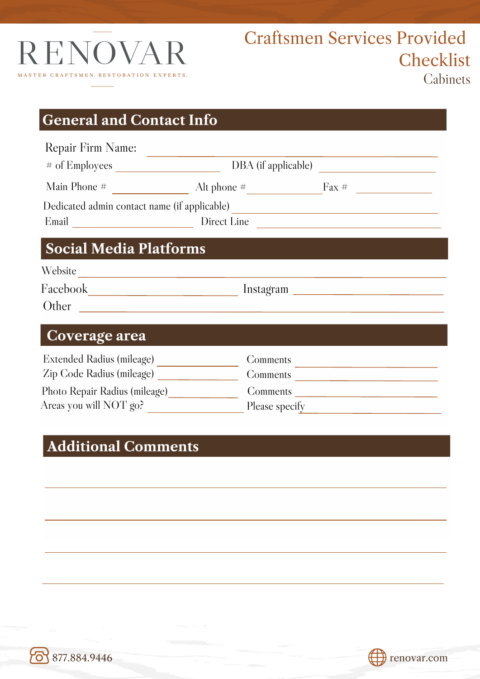

## **General and Contact Info**

| Repair Firm Name:                                                                           |                                                                                                 | DBA (if applicable)     |  |  |  |  |  |
|---------------------------------------------------------------------------------------------|-------------------------------------------------------------------------------------------------|-------------------------|--|--|--|--|--|
|                                                                                             |                                                                                                 | Alt phone $\#$ Fax $\#$ |  |  |  |  |  |
|                                                                                             |                                                                                                 |                         |  |  |  |  |  |
|                                                                                             | Dedicated admin contact name (if applicable) ___________________________________<br>Direct Line |                         |  |  |  |  |  |
| <b>Social Media Platforms</b><br>Website<br><u> 1989 - Jan Alexandri, politik fizikar (</u> |                                                                                                 |                         |  |  |  |  |  |
|                                                                                             |                                                                                                 |                         |  |  |  |  |  |
| Coverage area                                                                               |                                                                                                 |                         |  |  |  |  |  |
| Extended Radius (mileage)<br>Zin Code Radius (mileage)                                      | <b>Comments</b><br>Comments                                                                     |                         |  |  |  |  |  |

Zip Code Radius (mileage) \_ Comments Photo Repair Radius (mileage) Comments Areas you will NOT go? Please specify

## **Additional Comments**